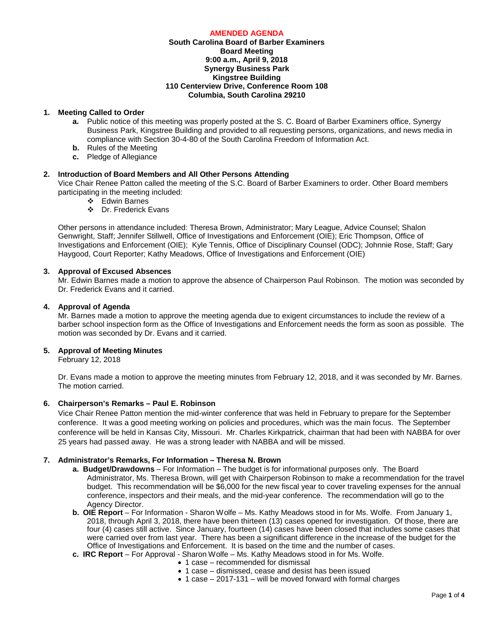### **AMENDED AGENDA South Carolina Board of Barber Examiners Board Meeting 9:00 a.m., April 9, 2018 Synergy Business Park Kingstree Building 110 Centerview Drive, Conference Room 108 Columbia, South Carolina 29210**

## **1. Meeting Called to Order**

- **a.** Public notice of this meeting was properly posted at the S. C. Board of Barber Examiners office, Synergy Business Park, Kingstree Building and provided to all requesting persons, organizations, and news media in compliance with Section 30-4-80 of the South Carolina Freedom of Information Act.
- **b.** Rules of the Meeting
- **c.** Pledge of Allegiance

## **2. Introduction of Board Members and All Other Persons Attending**

Vice Chair Renee Patton called the meeting of the S.C. Board of Barber Examiners to order. Other Board members participating in the meeting included:

- Edwin Barnes
- Dr. Frederick Evans

Other persons in attendance included: Theresa Brown, Administrator; Mary League, Advice Counsel; Shalon Genwright, Staff; Jennifer Stillwell, Office of Investigations and Enforcement (OIE); Eric Thompson, Office of Investigations and Enforcement (OIE); Kyle Tennis, Office of Disciplinary Counsel (ODC); Johnnie Rose, Staff; Gary Haygood, Court Reporter; Kathy Meadows, Office of Investigations and Enforcement (OIE)

## **3. Approval of Excused Absences**

Mr. Edwin Barnes made a motion to approve the absence of Chairperson Paul Robinson. The motion was seconded by Dr. Frederick Evans and it carried.

## **4. Approval of Agenda**

Mr. Barnes made a motion to approve the meeting agenda due to exigent circumstances to include the review of a barber school inspection form as the Office of Investigations and Enforcement needs the form as soon as possible. The motion was seconded by Dr. Evans and it carried.

# **5. Approval of Meeting Minutes**

February 12, 2018

Dr. Evans made a motion to approve the meeting minutes from February 12, 2018, and it was seconded by Mr. Barnes. The motion carried.

# **6. Chairperson's Remarks – Paul E. Robinson**

Vice Chair Renee Patton mention the mid-winter conference that was held in February to prepare for the September conference. It was a good meeting working on policies and procedures, which was the main focus. The September conference will be held in Kansas City, Missouri. Mr. Charles Kirkpatrick, chairman that had been with NABBA for over 25 years had passed away. He was a strong leader with NABBA and will be missed.

# **7. Administrator's Remarks, For Information – Theresa N. Brown**

- **a. Budget/Drawdowns** For Information The budget is for informational purposes only. The Board Administrator, Ms. Theresa Brown, will get with Chairperson Robinson to make a recommendation for the travel budget. This recommendation will be \$6,000 for the new fiscal year to cover traveling expenses for the annual conference, inspectors and their meals, and the mid-year conference. The recommendation will go to the Agency Director.
- **b. OIE Report**  For Information Sharon Wolfe Ms. Kathy Meadows stood in for Ms. Wolfe. From January 1, 2018, through April 3, 2018, there have been thirteen (13) cases opened for investigation. Of those, there are four (4) cases still active. Since January, fourteen (14) cases have been closed that includes some cases that were carried over from last year. There has been a significant difference in the increase of the budget for the Office of Investigations and Enforcement. It is based on the time and the number of cases.
- **c. IRC Report**  For Approval Sharon Wolfe Ms. Kathy Meadows stood in for Ms. Wolfe.
	- 1 case recommended for dismissal
	- 1 case dismissed, cease and desist has been issued
	- 1 case 2017-131 will be moved forward with formal charges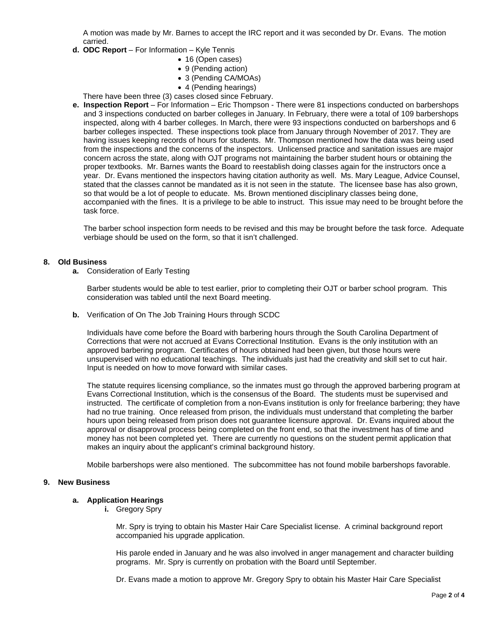A motion was made by Mr. Barnes to accept the IRC report and it was seconded by Dr. Evans. The motion carried.

- **d. ODC Report**  For Information Kyle Tennis
	- 16 (Open cases)
	- 9 (Pending action)
	- 3 (Pending CA/MOAs)
	- 4 (Pending hearings)

There have been three (3) cases closed since February.

**e. Inspection Report** – For Information – Eric Thompson - There were 81 inspections conducted on barbershops and 3 inspections conducted on barber colleges in January. In February, there were a total of 109 barbershops inspected, along with 4 barber colleges. In March, there were 93 inspections conducted on barbershops and 6 barber colleges inspected. These inspections took place from January through November of 2017. They are having issues keeping records of hours for students. Mr. Thompson mentioned how the data was being used from the inspections and the concerns of the inspectors. Unlicensed practice and sanitation issues are major concern across the state, along with OJT programs not maintaining the barber student hours or obtaining the proper textbooks. Mr. Barnes wants the Board to reestablish doing classes again for the instructors once a year. Dr. Evans mentioned the inspectors having citation authority as well. Ms. Mary League, Advice Counsel, stated that the classes cannot be mandated as it is not seen in the statute. The licensee base has also grown, so that would be a lot of people to educate. Ms. Brown mentioned disciplinary classes being done, accompanied with the fines. It is a privilege to be able to instruct. This issue may need to be brought before the task force.

The barber school inspection form needs to be revised and this may be brought before the task force. Adequate verbiage should be used on the form, so that it isn't challenged.

## **8. Old Business**

**a.** Consideration of Early Testing

Barber students would be able to test earlier, prior to completing their OJT or barber school program. This consideration was tabled until the next Board meeting.

**b.** Verification of On The Job Training Hours through SCDC

Individuals have come before the Board with barbering hours through the South Carolina Department of Corrections that were not accrued at Evans Correctional Institution. Evans is the only institution with an approved barbering program. Certificates of hours obtained had been given, but those hours were unsupervised with no educational teachings. The individuals just had the creativity and skill set to cut hair. Input is needed on how to move forward with similar cases.

The statute requires licensing compliance, so the inmates must go through the approved barbering program at Evans Correctional Institution, which is the consensus of the Board. The students must be supervised and instructed. The certificate of completion from a non-Evans institution is only for freelance barbering; they have had no true training. Once released from prison, the individuals must understand that completing the barber hours upon being released from prison does not guarantee licensure approval. Dr. Evans inquired about the approval or disapproval process being completed on the front end, so that the investment has of time and money has not been completed yet. There are currently no questions on the student permit application that makes an inquiry about the applicant's criminal background history.

Mobile barbershops were also mentioned. The subcommittee has not found mobile barbershops favorable.

### **9. New Business**

### **a. Application Hearings**

**i.** Gregory Spry

Mr. Spry is trying to obtain his Master Hair Care Specialist license. A criminal background report accompanied his upgrade application.

His parole ended in January and he was also involved in anger management and character building programs. Mr. Spry is currently on probation with the Board until September.

Dr. Evans made a motion to approve Mr. Gregory Spry to obtain his Master Hair Care Specialist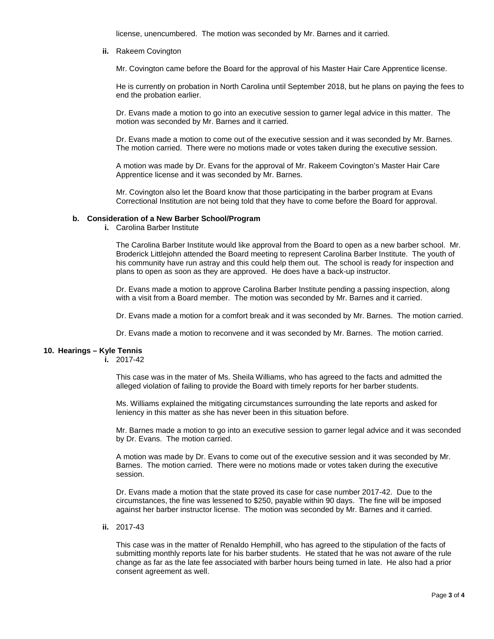license, unencumbered. The motion was seconded by Mr. Barnes and it carried.

**ii.** Rakeem Covington

Mr. Covington came before the Board for the approval of his Master Hair Care Apprentice license.

He is currently on probation in North Carolina until September 2018, but he plans on paying the fees to end the probation earlier.

Dr. Evans made a motion to go into an executive session to garner legal advice in this matter. The motion was seconded by Mr. Barnes and it carried.

Dr. Evans made a motion to come out of the executive session and it was seconded by Mr. Barnes. The motion carried. There were no motions made or votes taken during the executive session.

A motion was made by Dr. Evans for the approval of Mr. Rakeem Covington's Master Hair Care Apprentice license and it was seconded by Mr. Barnes.

Mr. Covington also let the Board know that those participating in the barber program at Evans Correctional Institution are not being told that they have to come before the Board for approval.

#### **b. Consideration of a New Barber School/Program**

**i.** Carolina Barber Institute

The Carolina Barber Institute would like approval from the Board to open as a new barber school. Mr. Broderick Littlejohn attended the Board meeting to represent Carolina Barber Institute. The youth of his community have run astray and this could help them out. The school is ready for inspection and plans to open as soon as they are approved. He does have a back-up instructor.

Dr. Evans made a motion to approve Carolina Barber Institute pending a passing inspection, along with a visit from a Board member. The motion was seconded by Mr. Barnes and it carried.

Dr. Evans made a motion for a comfort break and it was seconded by Mr. Barnes. The motion carried.

Dr. Evans made a motion to reconvene and it was seconded by Mr. Barnes. The motion carried.

### **10. Hearings – Kyle Tennis**

**i.** 2017-42

This case was in the mater of Ms. Sheila Williams, who has agreed to the facts and admitted the alleged violation of failing to provide the Board with timely reports for her barber students.

Ms. Williams explained the mitigating circumstances surrounding the late reports and asked for leniency in this matter as she has never been in this situation before.

Mr. Barnes made a motion to go into an executive session to garner legal advice and it was seconded by Dr. Evans. The motion carried.

A motion was made by Dr. Evans to come out of the executive session and it was seconded by Mr. Barnes. The motion carried. There were no motions made or votes taken during the executive session.

Dr. Evans made a motion that the state proved its case for case number 2017-42. Due to the circumstances, the fine was lessened to \$250, payable within 90 days. The fine will be imposed against her barber instructor license. The motion was seconded by Mr. Barnes and it carried.

**ii.** 2017-43

This case was in the matter of Renaldo Hemphill, who has agreed to the stipulation of the facts of submitting monthly reports late for his barber students. He stated that he was not aware of the rule change as far as the late fee associated with barber hours being turned in late. He also had a prior consent agreement as well.